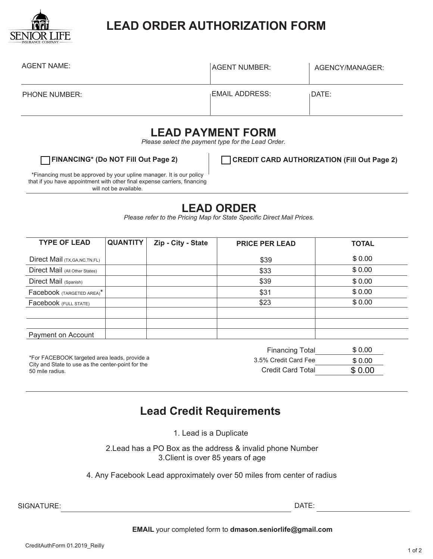

## **LEAD ORDER AUTHORIZATION FORM**

| <b>AGENT NAME:</b>   | AGENT NUMBER:  | AGENCY/MANAGER: |
|----------------------|----------------|-----------------|
| <b>PHONE NUMBER:</b> | EMAIL ADDRESS: | DATE:           |

### **LEAD PAYMENT FORM**

*Please select the payment type for the Lead Order.*

**FINANCING\* (Do NOT Fill Out Page 2) CREDIT CARD AUTHORIZATION (Fill Out Page 2)**

\*Financing must be approved by your upline manager. It is our policy that if you have appointment with other final expense carriers, financing will not be available.

### **LEAD ORDER**

*Please refer to the Pricing Map for State Specific Direct Mail Prices.*

| <b>TYPE OF LEAD</b>                                                                                                  | <b>QUANTITY</b> | Zip - City - State       | <b>PRICE PER LEAD</b>  | <b>TOTAL</b> |
|----------------------------------------------------------------------------------------------------------------------|-----------------|--------------------------|------------------------|--------------|
| Direct Mail (TX, GA, NC, TN, FL)                                                                                     |                 |                          | \$39                   | \$0.00       |
| Direct Mail (All Other States)                                                                                       |                 |                          | \$33                   | \$0.00       |
| Direct Mail (Spanish)                                                                                                |                 |                          | \$39                   | \$0.00       |
| Facebook (TARGETED AREA)*                                                                                            |                 |                          | \$31                   | \$0.00       |
| Facebook (FULL STATE)                                                                                                |                 |                          | \$23                   | \$0.00       |
|                                                                                                                      |                 |                          |                        |              |
|                                                                                                                      |                 |                          |                        |              |
| Payment on Account                                                                                                   |                 |                          |                        |              |
|                                                                                                                      |                 |                          | <b>Financing Total</b> | \$0.00       |
| *For FACEBOOK targeted area leads, provide a<br>City and State to use as the center-point for the<br>50 mile radius. |                 | 3.5% Credit Card Fee     | \$0.00                 |              |
|                                                                                                                      |                 | <b>Credit Card Total</b> | \$0.00                 |              |

### **Lead Credit Requirements**

1. Lead is a Duplicate

2.Lead has a PO Box as the address & invalid phone Number 3.Client is over 85 years of age

4. Any Facebook Lead approximately over 50 miles from center of radius

SIGNATURE:

DATE:

#### **EMAIL** your completed form to **dmason.seniorlife@gmail.com**